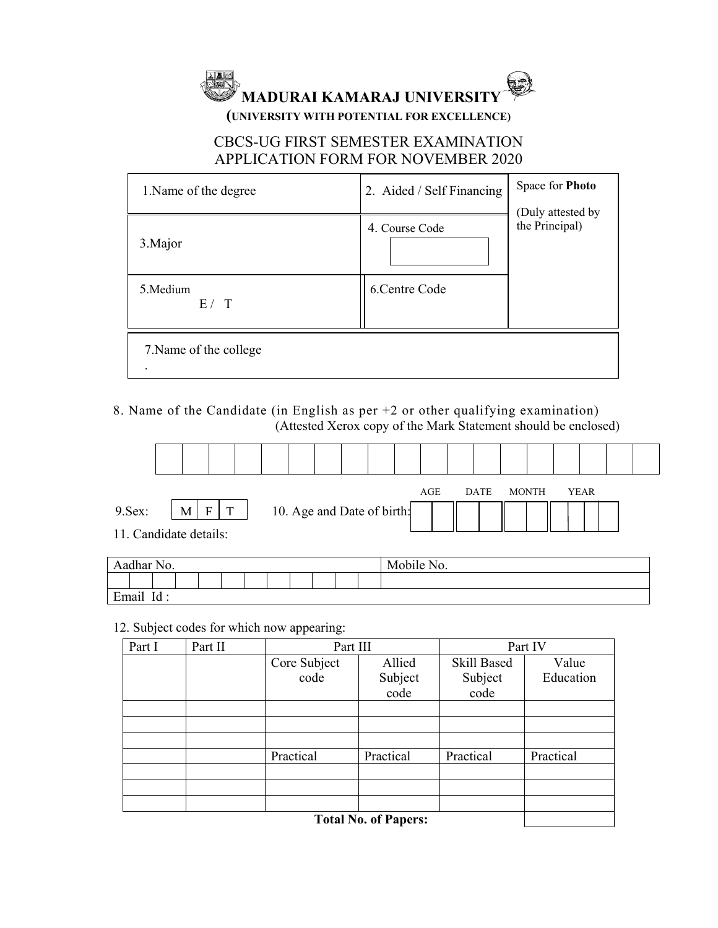

# CBCS-UG FIRST SEMESTER EXAMINATION APPLICATION FORM FOR NOVEMBER 2020

| 1. Name of the degree               | 2. Aided / Self Financing | Space for Photo<br>(Duly attested by<br>the Principal) |  |  |
|-------------------------------------|---------------------------|--------------------------------------------------------|--|--|
| 3. Major                            | 4. Course Code            |                                                        |  |  |
| 5. Medium<br>E / T                  | 6. Centre Code            |                                                        |  |  |
| 7. Name of the college<br>$\bullet$ |                           |                                                        |  |  |

8. Name of the Candidate (in English as per +2 or other qualifying examination) (Attested Xerox copy of the Mark Statement should be enclosed)

| 9.Sex:<br>11. Candidate details: | M <sub>1</sub> | $\mathbf{T}$<br>F |  | 10. Age and Date of birth: |  |  | AGE | <b>DATE</b> | MONTH | YEAR |  |
|----------------------------------|----------------|-------------------|--|----------------------------|--|--|-----|-------------|-------|------|--|

| 11<br>Aadhar No.      |           |     |  |  |  |  |  | 3 F 1 M 3 T<br>N <sub>O</sub> .<br>Mobile |  |  |
|-----------------------|-----------|-----|--|--|--|--|--|-------------------------------------------|--|--|
|                       |           |     |  |  |  |  |  |                                           |  |  |
| $\mathbf{r}$<br>Email | $\cdot$ . | Id: |  |  |  |  |  |                                           |  |  |

12. Subject codes for which now appearing:

| Part I | Part II | Part III     |                             | Part IV            |           |  |  |  |
|--------|---------|--------------|-----------------------------|--------------------|-----------|--|--|--|
|        |         | Core Subject | Allied                      | <b>Skill Based</b> | Value     |  |  |  |
|        |         | code         | Subject                     | Subject            | Education |  |  |  |
|        |         |              | code                        | code               |           |  |  |  |
|        |         |              |                             |                    |           |  |  |  |
|        |         |              |                             |                    |           |  |  |  |
|        |         |              |                             |                    |           |  |  |  |
|        |         | Practical    | Practical                   | Practical          | Practical |  |  |  |
|        |         |              |                             |                    |           |  |  |  |
|        |         |              |                             |                    |           |  |  |  |
|        |         |              |                             |                    |           |  |  |  |
|        |         |              | <b>Total No. of Papers:</b> |                    |           |  |  |  |

 **Total No. of Papers:**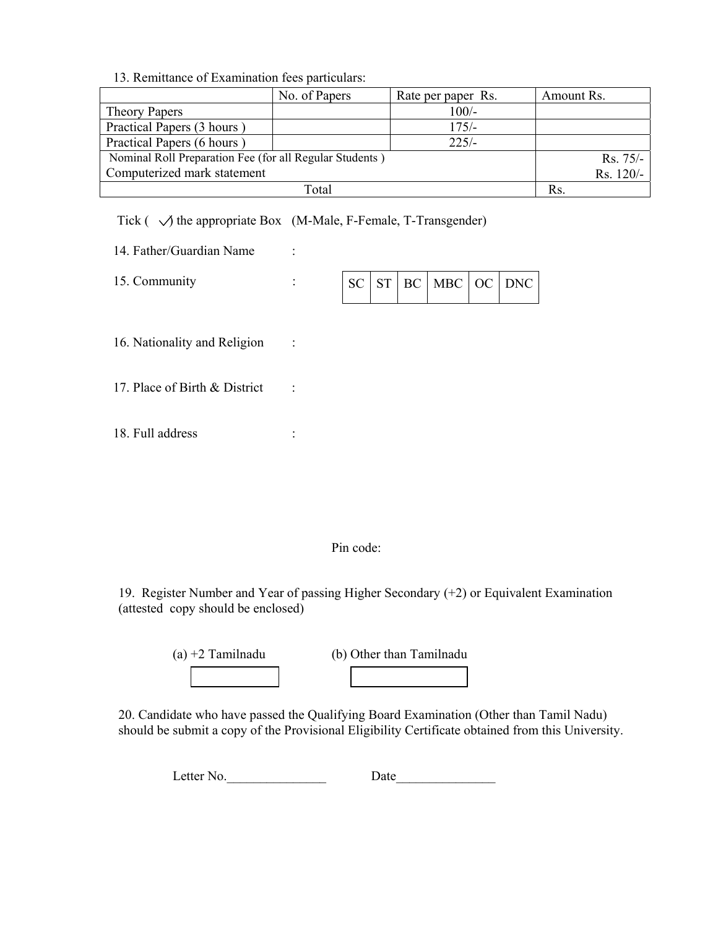### 13. Remittance of Examination fees particulars:

|                                                         | No. of Papers | Rate per paper Rs. | Amount Rs.  |
|---------------------------------------------------------|---------------|--------------------|-------------|
| Theory Papers                                           |               | $100/-$            |             |
| Practical Papers (3 hours)                              |               | $175/-$            |             |
| Practical Papers (6 hours)                              |               | $225/-$            |             |
| Nominal Roll Preparation Fee (for all Regular Students) |               |                    | $Rs. 75/-$  |
| Computerized mark statement                             |               |                    | $Rs. 120/-$ |
|                                                         | Total         |                    | Rs          |

## Tick  $(\sqrt{\ }$  the appropriate Box (M-Male, F-Female, T-Transgender)

| 14. Father/Guardian Name |  |
|--------------------------|--|
|--------------------------|--|

15. Community :

|  |  |  | $SC$ $ST$ $BC$ $MBC$ $OC$ $DNC$ |  |  |
|--|--|--|---------------------------------|--|--|
|--|--|--|---------------------------------|--|--|

16. Nationality and Religion :

- 17. Place of Birth & District :
- 18. Full address :

### Pin code:

19. Register Number and Year of passing Higher Secondary (+2) or Equivalent Examination (attested copy should be enclosed)

| $(a) +2$ Tamilnadu | (b) Other than Tamilnadu |
|--------------------|--------------------------|
|                    |                          |

20. Candidate who have passed the Qualifying Board Examination (Other than Tamil Nadu) should be submit a copy of the Provisional Eligibility Certificate obtained from this University.

| L <sub>6</sub><br>etter<br>N <sub>O</sub> | w |
|-------------------------------------------|---|
|                                           |   |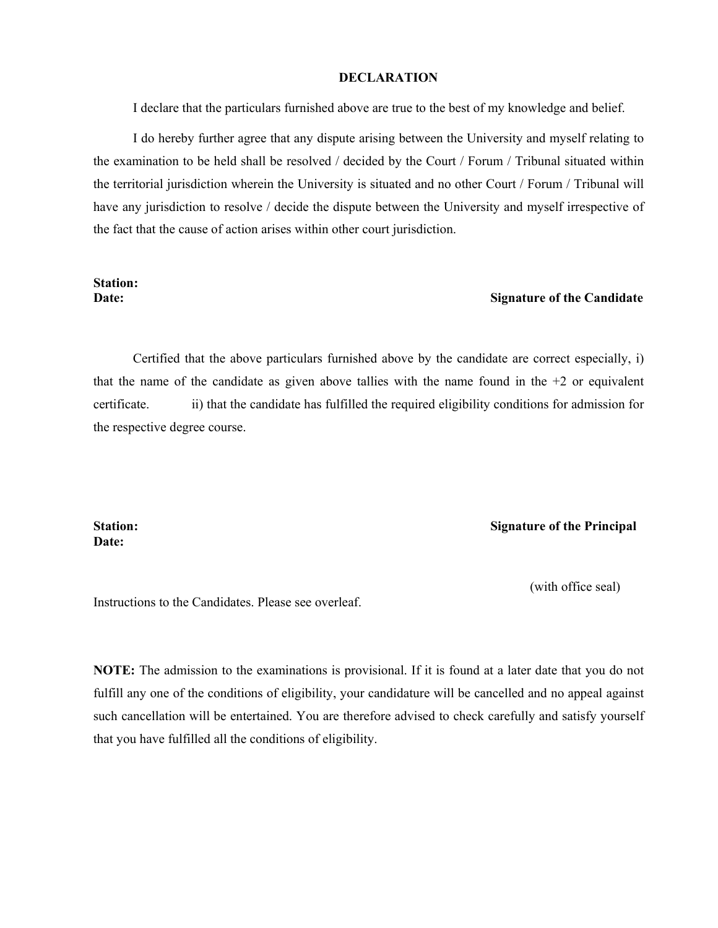### **DECLARATION**

I declare that the particulars furnished above are true to the best of my knowledge and belief.

I do hereby further agree that any dispute arising between the University and myself relating to the examination to be held shall be resolved / decided by the Court / Forum / Tribunal situated within the territorial jurisdiction wherein the University is situated and no other Court / Forum / Tribunal will have any jurisdiction to resolve / decide the dispute between the University and myself irrespective of the fact that the cause of action arises within other court jurisdiction.

# **Station:**

### **Date: Signature of the Candidate**

Certified that the above particulars furnished above by the candidate are correct especially, i) that the name of the candidate as given above tallies with the name found in the  $+2$  or equivalent certificate. ii) that the candidate has fulfilled the required eligibility conditions for admission for the respective degree course.

# **Date:**

#### **Station: Signature of the Principal**

(with office seal)

Instructions to the Candidates. Please see overleaf.

**NOTE:** The admission to the examinations is provisional. If it is found at a later date that you do not fulfill any one of the conditions of eligibility, your candidature will be cancelled and no appeal against such cancellation will be entertained. You are therefore advised to check carefully and satisfy yourself that you have fulfilled all the conditions of eligibility.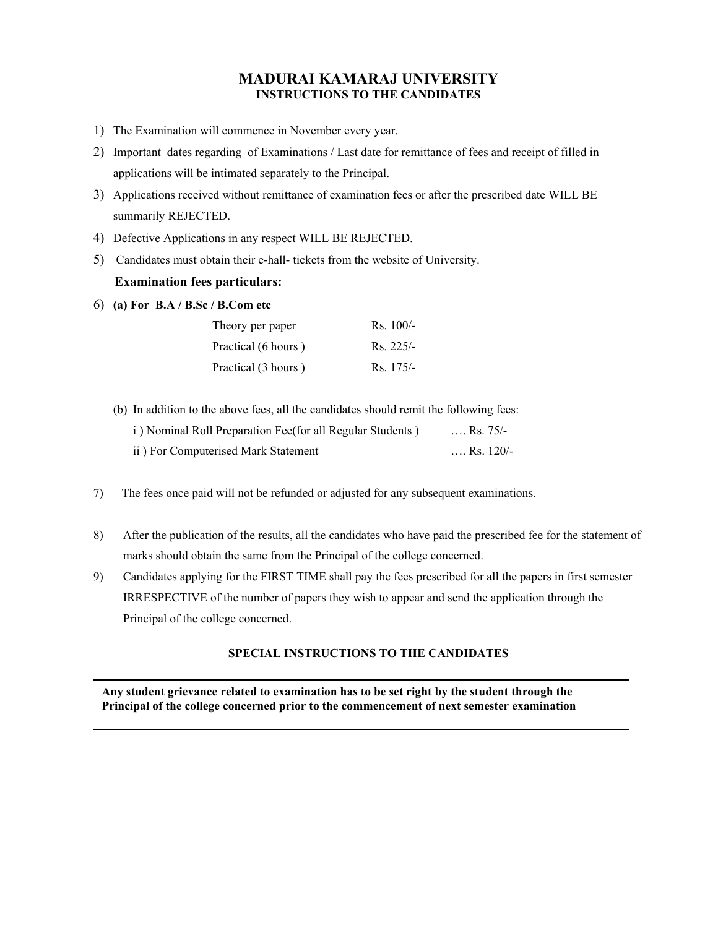## **MADURAI KAMARAJ UNIVERSITY INSTRUCTIONS TO THE CANDIDATES**

- 1) The Examination will commence in November every year.
- 2) Important dates regarding of Examinations / Last date for remittance of fees and receipt of filled in applications will be intimated separately to the Principal.
- 3) Applications received without remittance of examination fees or after the prescribed date WILL BE summarily REJECTED.
- 4) Defective Applications in any respect WILL BE REJECTED.
- 5) Candidates must obtain their e-hall- tickets from the website of University.

#### **Examination fees particulars:**

6) **(a) For B.A / B.Sc / B.Com etc**

| Theory per paper    | $Rs. 100/-$ |
|---------------------|-------------|
| Practical (6 hours) | $Rs. 225/-$ |
| Practical (3 hours) | $Rs. 175/-$ |

(b) In addition to the above fees, all the candidates should remit the following fees:

| i) Nominal Roll Preparation Fee(for all Regular Students) | Rs. $75/-$  |
|-----------------------------------------------------------|-------------|
| ii) For Computerised Mark Statement                       | Rs. $120/-$ |

- 7) The fees once paid will not be refunded or adjusted for any subsequent examinations.
- 8) After the publication of the results, all the candidates who have paid the prescribed fee for the statement of marks should obtain the same from the Principal of the college concerned.
- 9) Candidates applying for the FIRST TIME shall pay the fees prescribed for all the papers in first semester IRRESPECTIVE of the number of papers they wish to appear and send the application through the Principal of the college concerned.

### **SPECIAL INSTRUCTIONS TO THE CANDIDATES**

**Any student grievance related to examination has to be set right by the student through the Principal of the college concerned prior to the commencement of next semester examination**